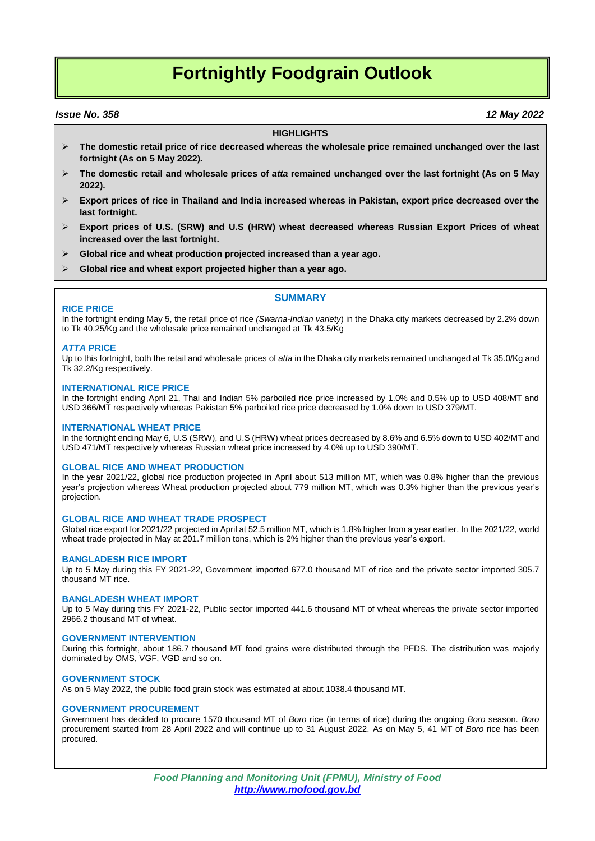# **Fortnightly Foodgrain Outlook**

### *Issue No. 358 12 May 2022*

#### **HIGHLIGHTS**

- **The domestic retail price of rice decreased whereas the wholesale price remained unchanged over the last fortnight (As on 5 May 2022).**
- **The domestic retail and wholesale prices of** *atta* **remained unchanged over the last fortnight (As on 5 May 2022).**
- **Export prices of rice in Thailand and India increased whereas in Pakistan, export price decreased over the last fortnight.**
- **Export prices of U.S. (SRW) and U.S (HRW) wheat decreased whereas Russian Export Prices of wheat increased over the last fortnight.**
- **Global rice and wheat production projected increased than a year ago.**
- **Global rice and wheat export projected higher than a year ago.**

# **SUMMARY**

#### **RICE PRICE**

In the fortnight ending May 5, the retail price of rice *(Swarna-Indian variety*) in the Dhaka city markets decreased by 2.2% down to Tk 40.25/Kg and the wholesale price remained unchanged at Tk 43.5/Kg

#### *ATTA* **PRICE**

Up to this fortnight, both the retail and wholesale prices of *atta* in the Dhaka city markets remained unchanged at Tk 35.0/Kg and Tk 32.2/Kg respectively.

#### **INTERNATIONAL RICE PRICE**

In the fortnight ending April 21, Thai and Indian 5% parboiled rice price increased by 1.0% and 0.5% up to USD 408/MT and USD 366/MT respectively whereas Pakistan 5% parboiled rice price decreased by 1.0% down to USD 379/MT.

#### **INTERNATIONAL WHEAT PRICE**

In the fortnight ending May 6, U.S (SRW), and U.S (HRW) wheat prices decreased by 8.6% and 6.5% down to USD 402/MT and USD 471/MT respectively whereas Russian wheat price increased by 4.0% up to USD 390/MT.

#### **GLOBAL RICE AND WHEAT PRODUCTION**

In the year 2021/22, global rice production projected in April about 513 million MT, which was 0.8% higher than the previous year's projection whereas Wheat production projected about 779 million MT, which was 0.3% higher than the previous year's projection.

### **GLOBAL RICE AND WHEAT TRADE PROSPECT**

Global rice export for 2021/22 projected in April at 52.5 million MT, which is 1.8% higher from a year earlier. In the 2021/22, world wheat trade projected in May at 201.7 million tons, which is 2% higher than the previous year's export.

### **BANGLADESH RICE IMPORT**

Up to 5 May during this FY 2021-22, Government imported 677.0 thousand MT of rice and the private sector imported 305.7 thousand MT rice.

#### **BANGLADESH WHEAT IMPORT**

Up to 5 May during this FY 2021-22, Public sector imported 441.6 thousand MT of wheat whereas the private sector imported 2966.2 thousand MT of wheat.

#### **GOVERNMENT INTERVENTION**

During this fortnight, about 186.7 thousand MT food grains were distributed through the PFDS. The distribution was majorly dominated by OMS, VGF, VGD and so on.

#### **GOVERNMENT STOCK**

As on 5 May 2022, the public food grain stock was estimated at about 1038.4 thousand MT.

#### **GOVERNMENT PROCUREMENT**

Government has decided to procure 1570 thousand MT of *Boro* rice (in terms of rice) during the ongoing *Boro* season. *Boro* procurement started from 28 April 2022 and will continue up to 31 August 2022. As on May 5, 41 MT of *Boro* rice has been procured.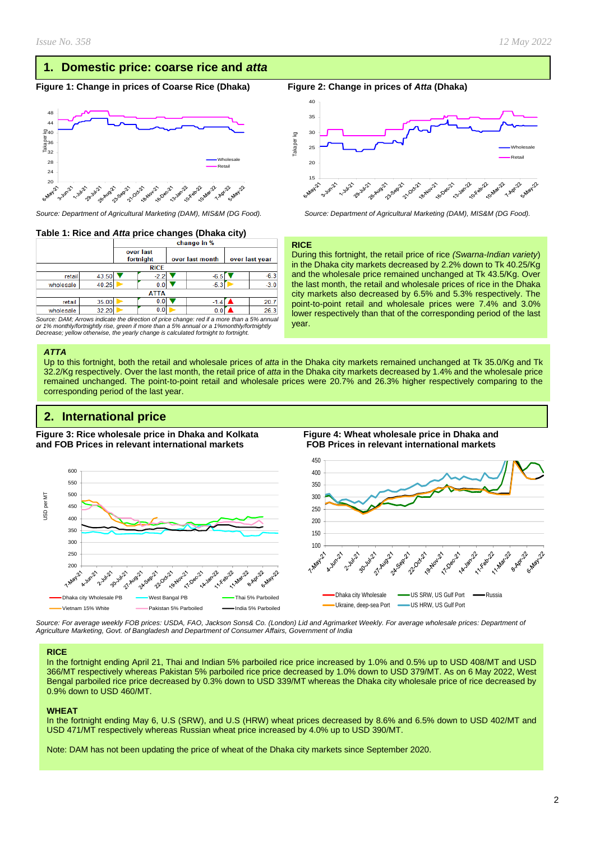# **1. Domestic price: coarse rice and** *atta*

#### **Figure 1: Change in prices of Coarse Rice (Dhaka) Figure 2: Change in prices of** *Atta* **(Dhaka)**



*Source: Department of Agricultural Marketing (DAM), MIS&M (DG Food). Source: Department of Agricultural Marketing (DAM), MIS&M (DG Food).*

### **Table 1: Rice and** *Atta* **price changes (Dhaka city)**

|           |             | change in %            |        |                 |        |                |        |  |
|-----------|-------------|------------------------|--------|-----------------|--------|----------------|--------|--|
|           |             | over last<br>fortnight |        | over last month |        | over last year |        |  |
|           | <b>RICE</b> |                        |        |                 |        |                |        |  |
| retail    | 43.50       |                        | $-2.2$ |                 | -6.5   |                | $-6.3$ |  |
| wholesale | 40.25       |                        | 0.0    |                 | $-5.3$ |                | $-3.0$ |  |
|           | <b>ATTA</b> |                        |        |                 |        |                |        |  |
| retail    | 35.00       |                        | 0.0    |                 | $-1.4$ |                | 20.    |  |
| wholesale | 32.20       |                        | 0.0    |                 | 0.1    |                | 26.3   |  |

*Source: DAM; Arrows indicate the direction of price change: red if a more than a 5% annual or 1% monthly/fortnightly rise, green if more than a 5% annual or a 1%monthly/fortnightly Decrease; yellow otherwise, the yearly change is calculated fortnight to fortnight.*

#### *ATTA*

Up to this fortnight, both the retail and wholesale prices of *atta* in the Dhaka city markets remained unchanged at Tk 35.0/Kg and Tk 32.2/Kg respectively. Over the last month, the retail price of *atta* in the Dhaka city markets decreased by 1.4% and the wholesale price remained unchanged. The point-to-point retail and wholesale prices were 20.7% and 26.3% higher respectively comparing to the corresponding period of the last year.

# **2. International price**

**Figure 3: Rice wholesale price in Dhaka and Kolkata Figure 4: Wheat wholesale price in Dhaka and and FOB Prices in relevant international markets FOB Prices in relevant international markets** 



*Source: For average weekly FOB prices: USDA, FAO, Jackson Sons& Co. (London) Lid and Agrimarket Weekly. For average wholesale prices: Department of Agriculture Marketing, Govt. of Bangladesh and Department of Consumer Affairs, Government of India*

#### **RICE**

In the fortnight ending April 21, Thai and Indian 5% parboiled rice price increased by 1.0% and 0.5% up to USD 408/MT and USD 366/MT respectively whereas Pakistan 5% parboiled rice price decreased by 1.0% down to USD 379/MT. As on 6 May 2022, West Bengal parboiled rice price decreased by 0.3% down to USD 339/MT whereas the Dhaka city wholesale price of rice decreased by 0.9% down to USD 460/MT.

#### **WHEAT**

In the fortnight ending May 6, U.S (SRW), and U.S (HRW) wheat prices decreased by 8.6% and 6.5% down to USD 402/MT and USD 471/MT respectively whereas Russian wheat price increased by 4.0% up to USD 390/MT.

Note: DAM has not been updating the price of wheat of the Dhaka city markets since September 2020.



#### **RICE**

During this fortnight, the retail price of rice *(Swarna-Indian variety*) in the Dhaka city markets decreased by 2.2% down to Tk 40.25/Kg and the wholesale price remained unchanged at Tk 43.5/Kg. Over the last month, the retail and wholesale prices of rice in the Dhaka city markets also decreased by 6.5% and 5.3% respectively. The point-to-point retail and wholesale prices were 7.4% and 3.0% lower respectively than that of the corresponding period of the last year.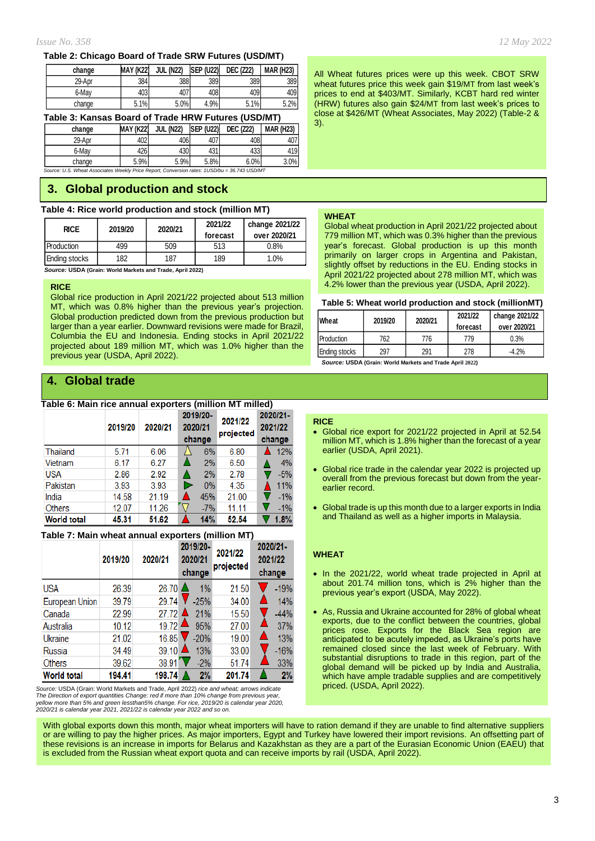#### **Table 2: Chicago Board of Trade SRW Futures (USD/MT)**

| change | <b>MAY (K22)</b> | <b>JUL (N22)</b> | <b>SEP (U22)</b> | <b>DEC (Z22)</b> | <b>MAR (H23)</b> |
|--------|------------------|------------------|------------------|------------------|------------------|
| 29-Apr | 384              | 388              | 389              | 389              | 389              |
| 6-Mav  | 403              | 407              | 408              | 409              | 409              |
| change | 5.1%             | 5.0%             | 4.9%             | 5.1%             | 5.2%             |

**Table 3: Kansas Board of Trade HRW Futures (USD/MT)**

| change | MAY (K22) | <b>JUL (N22)</b> | <b>ISEP (U22)</b> | <b>DEC (Z22)</b> | <b>MAR (H23)</b> |
|--------|-----------|------------------|-------------------|------------------|------------------|
| 29-Apr | 402       | 406              | 407               | 408              | 407              |
| 6-May  | 426       | 430              | 431               | 433              | 419              |

*Source: U.S. Wheat Associates Weekly Price Report, Conversion rates: 1USD/bu = 36.743 USD/MT* change 5.9% 5.9% 5.8% 6.0% 3.0%

# **3. Global production and stock**

#### **Table 4: Rice world production and stock (million MT)**

| <b>RICE</b>   | 2019/20 | 2020/21 | 2021/22<br>forecast | change 2021/22<br>over 2020/21 |
|---------------|---------|---------|---------------------|--------------------------------|
| Production    | 499     | 509     | 513                 | 0.8%                           |
| Ending stocks | 182     | 187     | 189                 | 1.0%                           |

 *Source:* **USDA (Grain: World Markets and Trade, April 2022)**

#### **RICE**

Global rice production in April 2021/22 projected about 513 million MT, which was 0.8% higher than the previous year's projection. Global production predicted down from the previous production but larger than a year earlier. Downward revisions were made for Brazil, Columbia the EU and Indonesia. Ending stocks in April 2021/22 projected about 189 million MT, which was 1.0% higher than the previous year (USDA, April 2022).

# **4. Global trade**

#### **Table 6: Main rice annual exporters (million MT milled)**

|                    | 2019/20 | 2020/21 | 2019/20-<br>2020/21<br>change | 2021/22<br>projected | 2020/21-<br>2021/22<br>change |  |
|--------------------|---------|---------|-------------------------------|----------------------|-------------------------------|--|
| Thailand           | 5.71    | 6.06    | 6%                            | 6.80                 | 12%                           |  |
| Vietnam            | 6.17    | 6.27    | 2%                            | 6.50                 | 4%                            |  |
| <b>USA</b>         | 2.86    | 2.92    | 2%                            | 2.78                 | $-5%$                         |  |
| Pakistan           | 3.93    | 3.93    | $0\%$<br>D                    | 4.35                 | 11%                           |  |
| India              | 14.58   | 21.19   | 45%                           | 21.00                | $-1%$                         |  |
| <b>Others</b>      | 12.07   | 11.26   | $-7%$                         | 11.11                | $-1%$                         |  |
| <b>World total</b> | 45.31   | 51.62   | 14%                           | 52.54                | 1.8%                          |  |

#### **Table 7: Main wheat annual exporters (million MT)**

| $10000$ $1.10011$ wheat annual exporters (minion may |         |         |                               |                      |                               |  |  |  |
|------------------------------------------------------|---------|---------|-------------------------------|----------------------|-------------------------------|--|--|--|
|                                                      | 2019/20 | 2020/21 | 2019/20-<br>2020/21<br>change | 2021/22<br>projected | 2020/21-<br>2021/22<br>change |  |  |  |
|                                                      |         |         |                               |                      |                               |  |  |  |
| <b>USA</b>                                           | 26.39   | 26.70   | 1%                            | 21.50                | $-19%$                        |  |  |  |
| European Union                                       | 39.79   | 29.74   | $-25%$                        | 34.00                | 14%                           |  |  |  |
| Canada                                               | 22.99   | 27.72   | 21%                           | 15.50                | $-44%$                        |  |  |  |
| Australia                                            | 10.12   | 19.72   | 95%                           | 27.00                | 37%                           |  |  |  |
| Ukraine                                              | 21.02   | 16.85   | $-20%$                        | 19.00                | Δ<br>13%                      |  |  |  |
| Russia                                               | 34.49   | 39.10   | 13%                           | 33.00                | $-16%$                        |  |  |  |
| <b>Others</b>                                        | 39.62   | 38.91   | $-2\%$                        | 51.74                | 33%                           |  |  |  |
| <b>World total</b>                                   | 194.41  | 198.74  | 2%                            | 201.74               | 2%                            |  |  |  |

*Source:* USDA (Grain: World Markets and Trade, April 2022) *rice and wheat; arrows indicate The Direction of export quantities Change: red if more than 10% change from previous year,* yellow more than 5% and green lessthan5% change. For rice, 2019/20 is calendar year 2020,<br>2020/21 is calendar year 2021, 2021/22 is calendar year 2022 and so on. All Wheat futures prices were up this week. CBOT SRW wheat futures price this week gain \$19/MT from last week's prices to end at \$403/MT. Similarly, KCBT hard red winter (HRW) futures also gain \$24/MT from last week's prices to close at \$426/MT (Wheat Associates, May 2022) (Table-2 & 3).

#### **WHEAT**

Global wheat production in April 2021/22 projected about 779 million MT, which was 0.3% higher than the previous year's forecast. Global production is up this month primarily on larger crops in Argentina and Pakistan, slightly offset by reductions in the EU. Ending stocks in April 2021/22 projected about 278 million MT, which was 4.2% lower than the previous year (USDA, April 2022).

#### **Table 5: Wheat world production and stock (millionMT)**

| Wheat             | 2019/20 | 2020/21 | 2021/22<br>forecast | change 2021/22<br>over 2020/21 |
|-------------------|---------|---------|---------------------|--------------------------------|
| <b>Production</b> | 762     | 776     | 779                 | 0.3%                           |
| Ending stocks     | 297     | 291     | 278                 | $-4.2%$                        |

*Source:* **USDA (Grain: World Markets and Trade April 2022)**

#### **RICE**

- Global rice export for 2021/22 projected in April at 52.54 million MT, which is 1.8% higher than the forecast of a year earlier (USDA, April 2021).
- Global rice trade in the calendar year 2022 is projected up overall from the previous forecast but down from the yearearlier record.
- Global trade is up this month due to a larger exports in India and Thailand as well as a higher imports in Malaysia.

#### **WHEAT**

- In the 2021/22, world wheat trade projected in April at about 201.74 million tons, which is 2% higher than the previous year's export (USDA, May 2022).
- As, Russia and Ukraine accounted for 28% of global wheat exports, due to the conflict between the countries, global prices rose. Exports for the Black Sea region are anticipated to be acutely impeded, as Ukraine's ports have remained closed since the last week of February. With substantial disruptions to trade in this region, part of the global demand will be picked up by India and Australia, which have ample tradable supplies and are competitively priced. (USDA, April 2022).

With global exports down this month, major wheat importers will have to ration demand if they are unable to find alternative suppliers or are willing to pay the higher prices. As major importers, Egypt and Turkey have lowered their import revisions. An offsetting part of these revisions is an increase in imports for Belarus and Kazakhstan as they are a part of the Eurasian Economic Union (EAEU) that is excluded from the Russian wheat export quota and can receive imports by rail (USDA, April 2022).